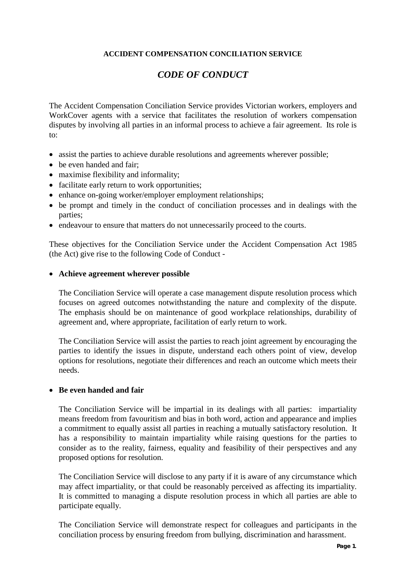# **ACCIDENT COMPENSATION CONCILIATION SERVICE**

# *CODE OF CONDUCT*

The Accident Compensation Conciliation Service provides Victorian workers, employers and WorkCover agents with a service that facilitates the resolution of workers compensation disputes by involving all parties in an informal process to achieve a fair agreement. Its role is to:

- assist the parties to achieve durable resolutions and agreements wherever possible;
- be even handed and fair:
- maximise flexibility and informality;
- facilitate early return to work opportunities;
- enhance on-going worker/employer employment relationships;
- be prompt and timely in the conduct of conciliation processes and in dealings with the parties;
- endeavour to ensure that matters do not unnecessarily proceed to the courts.

These objectives for the Conciliation Service under the Accident Compensation Act 1985 (the Act) give rise to the following Code of Conduct -

## • **Achieve agreement wherever possible**

The Conciliation Service will operate a case management dispute resolution process which focuses on agreed outcomes notwithstanding the nature and complexity of the dispute. The emphasis should be on maintenance of good workplace relationships, durability of agreement and, where appropriate, facilitation of early return to work.

The Conciliation Service will assist the parties to reach joint agreement by encouraging the parties to identify the issues in dispute, understand each others point of view, develop options for resolutions, negotiate their differences and reach an outcome which meets their needs.

## • **Be even handed and fair**

The Conciliation Service will be impartial in its dealings with all parties: impartiality means freedom from favouritism and bias in both word, action and appearance and implies a commitment to equally assist all parties in reaching a mutually satisfactory resolution. It has a responsibility to maintain impartiality while raising questions for the parties to consider as to the reality, fairness, equality and feasibility of their perspectives and any proposed options for resolution.

The Conciliation Service will disclose to any party if it is aware of any circumstance which may affect impartiality, or that could be reasonably perceived as affecting its impartiality. It is committed to managing a dispute resolution process in which all parties are able to participate equally.

The Conciliation Service will demonstrate respect for colleagues and participants in the conciliation process by ensuring freedom from bullying, discrimination and harassment.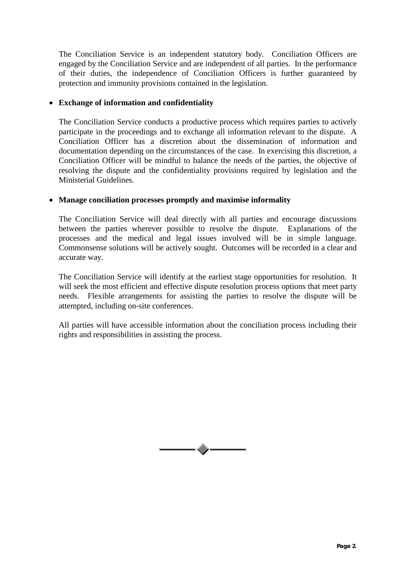The Conciliation Service is an independent statutory body. Conciliation Officers are engaged by the Conciliation Service and are independent of all parties. In the performance of their duties, the independence of Conciliation Officers is further guaranteed by protection and immunity provisions contained in the legislation.

# • **Exchange of information and confidentiality**

The Conciliation Service conducts a productive process which requires parties to actively participate in the proceedings and to exchange all information relevant to the dispute. A Conciliation Officer has a discretion about the dissemination of information and documentation depending on the circumstances of the case. In exercising this discretion, a Conciliation Officer will be mindful to balance the needs of the parties, the objective of resolving the dispute and the confidentiality provisions required by legislation and the Ministerial Guidelines.

# • **Manage conciliation processes promptly and maximise informality**

The Conciliation Service will deal directly with all parties and encourage discussions between the parties wherever possible to resolve the dispute. Explanations of the processes and the medical and legal issues involved will be in simple language. Commonsense solutions will be actively sought. Outcomes will be recorded in a clear and accurate way.

The Conciliation Service will identify at the earliest stage opportunities for resolution. It will seek the most efficient and effective dispute resolution process options that meet party needs. Flexible arrangements for assisting the parties to resolve the dispute will be attempted, including on-site conferences.

All parties will have accessible information about the conciliation process including their rights and responsibilities in assisting the process.

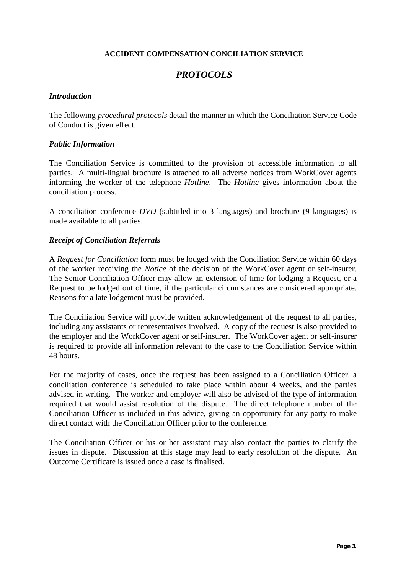## **ACCIDENT COMPENSATION CONCILIATION SERVICE**

# *PROTOCOLS*

## *Introduction*

The following *procedural protocols* detail the manner in which the Conciliation Service Code of Conduct is given effect.

## *Public Information*

The Conciliation Service is committed to the provision of accessible information to all parties. A multi-lingual brochure is attached to all adverse notices from WorkCover agents informing the worker of the telephone *Hotline*. The *Hotline* gives information about the conciliation process.

A conciliation conference *DVD* (subtitled into 3 languages) and brochure (9 languages) is made available to all parties.

# *Receipt of Conciliation Referrals*

A *Request for Conciliation* form must be lodged with the Conciliation Service within 60 days of the worker receiving the *Notice* of the decision of the WorkCover agent or self-insurer. The Senior Conciliation Officer may allow an extension of time for lodging a Request, or a Request to be lodged out of time, if the particular circumstances are considered appropriate. Reasons for a late lodgement must be provided.

The Conciliation Service will provide written acknowledgement of the request to all parties, including any assistants or representatives involved. A copy of the request is also provided to the employer and the WorkCover agent or self-insurer. The WorkCover agent or self-insurer is required to provide all information relevant to the case to the Conciliation Service within 48 hours.

For the majority of cases, once the request has been assigned to a Conciliation Officer, a conciliation conference is scheduled to take place within about 4 weeks, and the parties advised in writing. The worker and employer will also be advised of the type of information required that would assist resolution of the dispute. The direct telephone number of the Conciliation Officer is included in this advice, giving an opportunity for any party to make direct contact with the Conciliation Officer prior to the conference.

The Conciliation Officer or his or her assistant may also contact the parties to clarify the issues in dispute. Discussion at this stage may lead to early resolution of the dispute. An Outcome Certificate is issued once a case is finalised.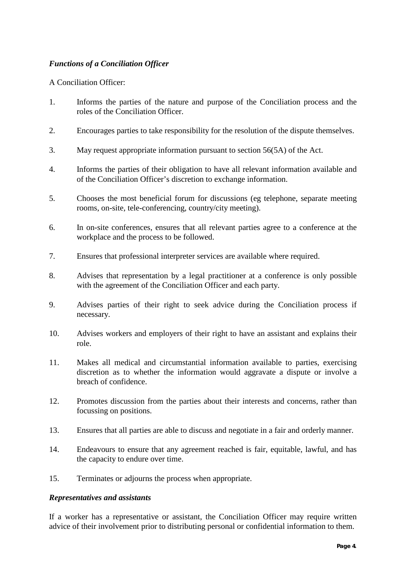# *Functions of a Conciliation Officer*

# A Conciliation Officer:

- 1. Informs the parties of the nature and purpose of the Conciliation process and the roles of the Conciliation Officer.
- 2. Encourages parties to take responsibility for the resolution of the dispute themselves.
- 3. May request appropriate information pursuant to section 56(5A) of the Act.
- 4. Informs the parties of their obligation to have all relevant information available and of the Conciliation Officer's discretion to exchange information.
- 5. Chooses the most beneficial forum for discussions (eg telephone, separate meeting rooms, on-site, tele-conferencing, country/city meeting).
- 6. In on-site conferences, ensures that all relevant parties agree to a conference at the workplace and the process to be followed.
- 7. Ensures that professional interpreter services are available where required.
- 8. Advises that representation by a legal practitioner at a conference is only possible with the agreement of the Conciliation Officer and each party.
- 9. Advises parties of their right to seek advice during the Conciliation process if necessary.
- 10. Advises workers and employers of their right to have an assistant and explains their role.
- 11. Makes all medical and circumstantial information available to parties, exercising discretion as to whether the information would aggravate a dispute or involve a breach of confidence.
- 12. Promotes discussion from the parties about their interests and concerns, rather than focussing on positions.
- 13. Ensures that all parties are able to discuss and negotiate in a fair and orderly manner.
- 14. Endeavours to ensure that any agreement reached is fair, equitable, lawful, and has the capacity to endure over time.
- 15. Terminates or adjourns the process when appropriate.

## *Representatives and assistants*

If a worker has a representative or assistant, the Conciliation Officer may require written advice of their involvement prior to distributing personal or confidential information to them.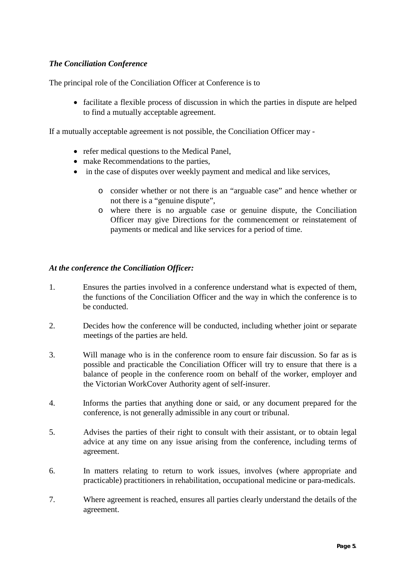# *The Conciliation Conference*

The principal role of the Conciliation Officer at Conference is to

• facilitate a flexible process of discussion in which the parties in dispute are helped to find a mutually acceptable agreement.

If a mutually acceptable agreement is not possible, the Conciliation Officer may -

- refer medical questions to the Medical Panel,
- make Recommendations to the parties,
- in the case of disputes over weekly payment and medical and like services,
	- o consider whether or not there is an "arguable case" and hence whether or not there is a "genuine dispute",
	- o where there is no arguable case or genuine dispute, the Conciliation Officer may give Directions for the commencement or reinstatement of payments or medical and like services for a period of time.

# *At the conference the Conciliation Officer:*

- 1. Ensures the parties involved in a conference understand what is expected of them, the functions of the Conciliation Officer and the way in which the conference is to be conducted.
- 2. Decides how the conference will be conducted, including whether joint or separate meetings of the parties are held.
- 3. Will manage who is in the conference room to ensure fair discussion. So far as is possible and practicable the Conciliation Officer will try to ensure that there is a balance of people in the conference room on behalf of the worker, employer and the Victorian WorkCover Authority agent of self-insurer.
- 4. Informs the parties that anything done or said, or any document prepared for the conference, is not generally admissible in any court or tribunal.
- 5. Advises the parties of their right to consult with their assistant, or to obtain legal advice at any time on any issue arising from the conference, including terms of agreement.
- 6. In matters relating to return to work issues, involves (where appropriate and practicable) practitioners in rehabilitation, occupational medicine or para-medicals.
- 7. Where agreement is reached, ensures all parties clearly understand the details of the agreement.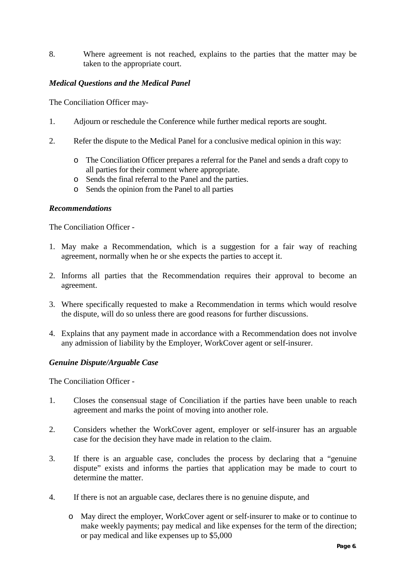8. Where agreement is not reached, explains to the parties that the matter may be taken to the appropriate court.

# *Medical Questions and the Medical Panel*

The Conciliation Officer may-

- 1. Adjourn or reschedule the Conference while further medical reports are sought.
- 2. Refer the dispute to the Medical Panel for a conclusive medical opinion in this way:
	- o The Conciliation Officer prepares a referral for the Panel and sends a draft copy to all parties for their comment where appropriate.
	- o Sends the final referral to the Panel and the parties.
	- o Sends the opinion from the Panel to all parties

## *Recommendations*

The Conciliation Officer -

- 1. May make a Recommendation, which is a suggestion for a fair way of reaching agreement, normally when he or she expects the parties to accept it.
- 2. Informs all parties that the Recommendation requires their approval to become an agreement.
- 3. Where specifically requested to make a Recommendation in terms which would resolve the dispute, will do so unless there are good reasons for further discussions.
- 4. Explains that any payment made in accordance with a Recommendation does not involve any admission of liability by the Employer, WorkCover agent or self-insurer.

## *Genuine Dispute/Arguable Case*

The Conciliation Officer -

- 1. Closes the consensual stage of Conciliation if the parties have been unable to reach agreement and marks the point of moving into another role.
- 2. Considers whether the WorkCover agent, employer or self-insurer has an arguable case for the decision they have made in relation to the claim.
- 3. If there is an arguable case, concludes the process by declaring that a "genuine dispute" exists and informs the parties that application may be made to court to determine the matter.
- 4. If there is not an arguable case, declares there is no genuine dispute, and
	- o May direct the employer, WorkCover agent or self-insurer to make or to continue to make weekly payments; pay medical and like expenses for the term of the direction; or pay medical and like expenses up to \$5,000